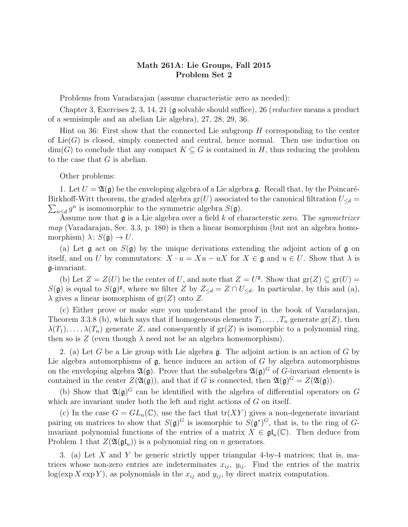## Math 261A: Lie Groups, Fall 2015 Problem Set 2

Problems from Varadarajan (assume characteristic zero as needed):

Chapter 3, Exercises 2, 3, 14, 21  $\beta$  solvable should suffice), 26 (*reductive* means a product of a semisimple and an abelian Lie algebra), 27, 28, 29, 36.

Hint on 36: First show that the connected Lie subgroup  $H$  corresponding to the center of  $Lie(G)$  is closed, simply connected and central, hence normal. Then use induction on  $\dim(G)$  to conclude that any compact  $K \subseteq G$  is contained in H, thus reducing the problem to the case that G is abelian.

Other problems:

1. Let  $U = \mathfrak{A}(\mathfrak{g})$  be the enveloping algebra of a Lie algebra g. Recall that, by the Poincaré-Birkhoff-Witt theorem, the graded algebra  $gr(U)$  associated to the canonical filtration  $U_{\leq d}$  =  $\sum_{n\leq d} g^n$  is isomomorphic to the symmetric algebra  $S(\mathfrak{g})$ .

Assume now that  $\mathfrak g$  is a Lie algebra over a field k of characterstic zero. The symmetrizer  $map$  (Varadarajan, Sec. 3.3, p. 180) is then a linear isomorphism (but not an algebra homomorphism)  $\lambda: S(\mathfrak{g}) \to U$ .

(a) Let  $\mathfrak g$  act on  $S(\mathfrak g)$  by the unique derivations extending the adjoint action of  $\mathfrak g$  on itself, and on U by commutators:  $X \cdot u = Xu - uX$  for  $X \in \mathfrak{g}$  and  $u \in U$ . Show that  $\lambda$  is g-invariant.

(b) Let  $Z = Z(U)$  be the center of U, and note that  $Z = U^{\mathfrak{g}}$ . Show that  $gr(Z) \subseteq gr(U)$  $S(\mathfrak{g})$  is equal to  $S(\mathfrak{g})^{\mathfrak{g}},$  where we filter Z by  $Z_{\leq d} = Z \cap U_{\leq d}$ . In particular, by this and (a),  $\lambda$  gives a linear isomorphism of  $gr(Z)$  onto Z.

(c) Either prove or make sure you understand the proof in the book of Varadarajan, Theorem 3.3.8 (b), which says that if homogeneous elements  $T_1, \ldots, T_n$  generate  $gr(Z)$ , then  $\lambda(T_1), \ldots, \lambda(T_n)$  generate Z, and consequently if  $gr(Z)$  is isomorphic to a polynomial ring, then so is  $Z$  (even though  $\lambda$  need not be an algebra homomorphism).

2. (a) Let G be a Lie group with Lie algebra  $\mathfrak{g}$ . The adjoint action is an action of G by Lie algebra automorphisms of  $g$ , hence induces an action of  $G$  by algebra automorphisms on the enveloping algebra  $\mathfrak{A}(\mathfrak{g})$ . Prove that the subalgebra  $\mathfrak{A}(\mathfrak{g})^G$  of G-invariant elements is contained in the center  $Z(\mathfrak{A}(\mathfrak{g}))$ , and that if G is connected, then  $\mathfrak{A}(\mathfrak{g})^G = Z(\mathfrak{A}(\mathfrak{g}))$ .

(b) Show that  $\mathfrak{A}(\mathfrak{g})^G$  can be identified with the algebra of differential operators on G which are invariant under both the left and right actions of  $G$  on itself.

(c) In the case  $G = GL_n(\mathbb{C})$ , use the fact that  $tr(XY)$  gives a non-degenerate invariant pairing on matrices to show that  $S(\mathfrak{g})^G$  is isomorphic to  $S(\mathfrak{g}^*)^G$ , that is, to the ring of Ginvariant polynomial functions of the entries of a matrix  $X \in \mathfrak{gl}_n(\mathbb{C})$ . Then deduce from Problem 1 that  $Z(\mathfrak{A}(\mathfrak{gl}_n))$  is a polynomial ring on n generators.

3. (a) Let X and Y be generic strictly upper triangular 4-by-4 matrices; that is, matrices whose non-zero entries are indeterminates  $x_{ij}$ ,  $y_{ij}$ . Find the entries of the matrix  $log(exp X exp Y)$ , as polynomials in the  $x_{ij}$  and  $y_{ij}$ , by direct matrix computation.